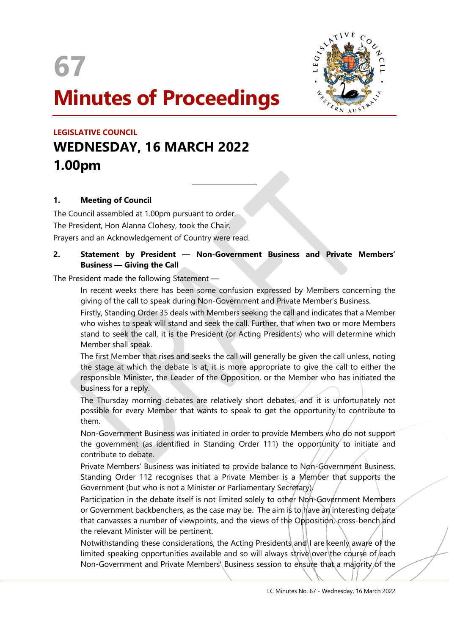



# **Minutes of Proceedings**

 $\overline{a}$ 

# **LEGISLATIVE COUNCIL WEDNESDAY, 16 MARCH 2022 1.00pm**

#### **1. Meeting of Council**

The Council assembled at 1.00pm pursuant to order. The President, Hon Alanna Clohesy, took the Chair. Prayers and an Acknowledgement of Country were read.

#### **2. Statement by President — Non-Government Business and Private Members' Business — Giving the Call**

The President made the following Statement —

In recent weeks there has been some confusion expressed by Members concerning the giving of the call to speak during Non-Government and Private Member's Business.

Firstly, Standing Order 35 deals with Members seeking the call and indicates that a Member who wishes to speak will stand and seek the call. Further, that when two or more Members stand to seek the call, it is the President (or Acting Presidents) who will determine which Member shall speak.

The first Member that rises and seeks the call will generally be given the call unless, noting the stage at which the debate is at, it is more appropriate to give the call to either the responsible Minister, the Leader of the Opposition, or the Member who has initiated the business for a reply.

The Thursday morning debates are relatively short debates, and it is unfortunately not possible for every Member that wants to speak to get the opportunity to contribute to them.

Non-Government Business was initiated in order to provide Members who do not support the government (as identified in Standing Order 111) the opportunity to initiate and contribute to debate.

Private Members' Business was initiated to provide balance to Non-Government Business. Standing Order 112 recognises that a Private Member is a Member that supports the Government (but who is not a Minister or Parliamentary Secretary).

Participation in the debate itself is not limited solely to other Non-Government Members or Government backbenchers, as the case may be. The aim is to have an interesting debate that canvasses a number of viewpoints, and the views of the Opposition, cross-bench and the relevant Minister will be pertinent.

Notwithstanding these considerations, the Acting Presidents and I are keenly aware of the limited speaking opportunities available and so will always strive over the course of each Non-Government and Private Members' Business session to ensure that a majority of the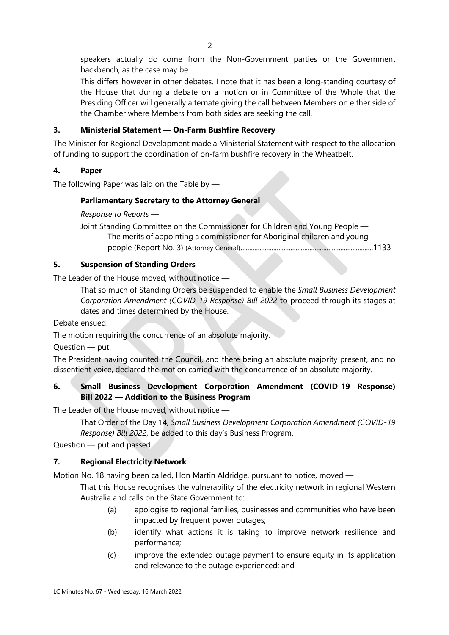speakers actually do come from the Non-Government parties or the Government backbench, as the case may be.

This differs however in other debates. I note that it has been a long-standing courtesy of the House that during a debate on a motion or in Committee of the Whole that the Presiding Officer will generally alternate giving the call between Members on either side of the Chamber where Members from both sides are seeking the call.

# **3. Ministerial Statement — On-Farm Bushfire Recovery**

The Minister for Regional Development made a Ministerial Statement with respect to the allocation of funding to support the coordination of on-farm bushfire recovery in the Wheatbelt.

# **4. Paper**

The following Paper was laid on the Table by —

# **Parliamentary Secretary to the Attorney General**

*Response to Reports —*

Joint Standing Committee on the Commissioner for Children and Young People — The merits of appointing a commissioner for Aboriginal children and young people (Report No. 3) (Attorney General).............................................................................1133

# **5. Suspension of Standing Orders**

The Leader of the House moved, without notice —

That so much of Standing Orders be suspended to enable the *Small Business Development Corporation Amendment (COVID-19 Response) Bill 2022* to proceed through its stages at dates and times determined by the House.

Debate ensued.

The motion requiring the concurrence of an absolute majority.

Question — put.

The President having counted the Council, and there being an absolute majority present, and no dissentient voice, declared the motion carried with the concurrence of an absolute majority.

# **6. Small Business Development Corporation Amendment (COVID-19 Response) Bill 2022 — Addition to the Business Program**

The Leader of the House moved, without notice —

That Order of the Day 14, *Small Business Development Corporation Amendment (COVID-19 Response) Bill 2022*, be added to this day's Business Program.

Question — put and passed.

# **7. Regional Electricity Network**

Motion No. 18 having been called, Hon Martin Aldridge, pursuant to notice, moved —

That this House recognises the vulnerability of the electricity network in regional Western Australia and calls on the State Government to:

- (a) apologise to regional families, businesses and communities who have been impacted by frequent power outages;
- (b) identify what actions it is taking to improve network resilience and performance;
- (c) improve the extended outage payment to ensure equity in its application and relevance to the outage experienced; and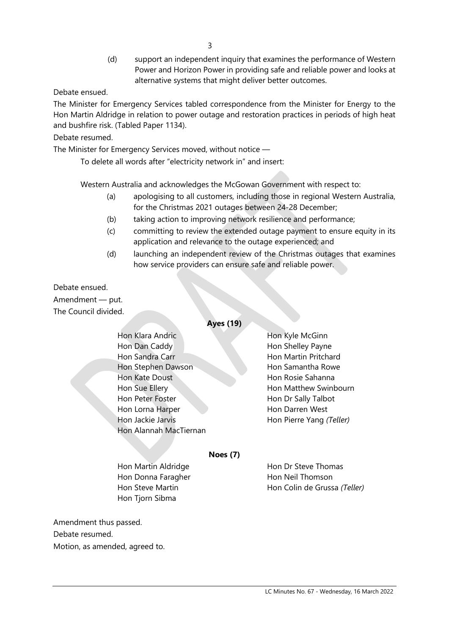(d) support an independent inquiry that examines the performance of Western Power and Horizon Power in providing safe and reliable power and looks at alternative systems that might deliver better outcomes.

Debate ensued.

The Minister for Emergency Services tabled correspondence from the Minister for Energy to the Hon Martin Aldridge in relation to power outage and restoration practices in periods of high heat and bushfire risk. (Tabled Paper 1134).

Debate resumed.

The Minister for Emergency Services moved, without notice —

To delete all words after "electricity network in" and insert:

Western Australia and acknowledges the McGowan Government with respect to:

- (a) apologising to all customers, including those in regional Western Australia, for the Christmas 2021 outages between 24-28 December;
- (b) taking action to improving network resilience and performance;
- (c) committing to review the extended outage payment to ensure equity in its application and relevance to the outage experienced; and
- (d) launching an independent review of the Christmas outages that examines how service providers can ensure safe and reliable power.

#### Debate ensued.

Amendment — put. The Council divided.

**Ayes (19)**

**Hon Klara Andric Hon Kyle McGinn** Hon Dan Caddy Hon Shelley Payne Hon Sandra Carr **Hon Martin Pritchard Hon Stephen Dawson** Hon Samantha Rowe **Hon Kate Doust Hon Rosie Sahanna** Hon Sue Ellery **Hon Matthew Swinbourn** Hon Peter Foster **Hon Dr Sally Talbot** Hon Lorna Harper **Hon Darren West** Hon Jackie Jarvis **Hon Pierre Yang** *(Teller)* Hon Alannah MacTiernan

#### **Noes (7)**

- Hon Martin Aldridge **Hon Dr Steve Thomas** Hon Donna Faragher Hon Neil Thomson Hon Tjorn Sibma
- Hon Steve Martin Hon Colin de Grussa *(Teller)*

Amendment thus passed. Debate resumed. Motion, as amended, agreed to.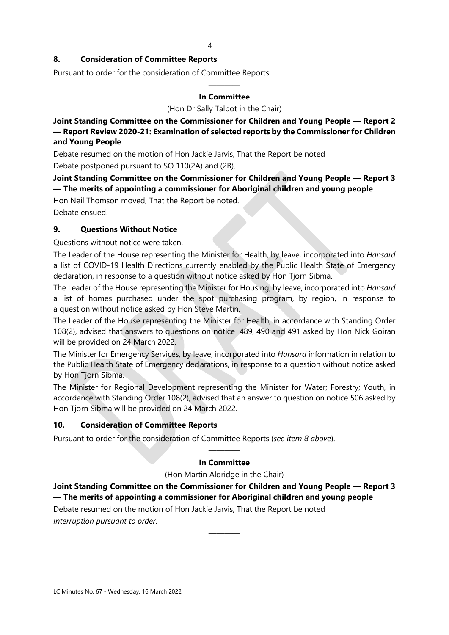#### **8. Consideration of Committee Reports**

Pursuant to order for the consideration of Committee Reports.

#### ———— **In Committee**

(Hon Dr Sally Talbot in the Chair)

**Joint Standing Committee on the Commissioner for Children and Young People — Report 2 — Report Review 2020-21: Examination of selected reports by the Commissioner for Children and Young People**

Debate resumed on the motion of Hon Jackie Jarvis, That the Report be noted Debate postponed pursuant to SO 110(2A) and (2B).

**Joint Standing Committee on the Commissioner for Children and Young People — Report 3 — The merits of appointing a commissioner for Aboriginal children and young people**

Hon Neil Thomson moved, That the Report be noted.

Debate ensued.

#### **9. Questions Without Notice**

Questions without notice were taken.

The Leader of the House representing the Minister for Health, by leave, incorporated into *Hansard* a list of COVID-19 Health Directions currently enabled by the Public Health State of Emergency declaration, in response to a question without notice asked by Hon Tjorn Sibma.

The Leader of the House representing the Minister for Housing, by leave, incorporated into *Hansard* a list of homes purchased under the spot purchasing program, by region, in response to a question without notice asked by Hon Steve Martin.

The Leader of the House representing the Minister for Health, in accordance with Standing Order 108(2), advised that answers to questions on notice 489, 490 and 491 asked by Hon Nick Goiran will be provided on 24 March 2022.

The Minister for Emergency Services, by leave, incorporated into *Hansard* information in relation to the Public Health State of Emergency declarations, in response to a question without notice asked by Hon Tjorn Sibma.

The Minister for Regional Development representing the Minister for Water; Forestry; Youth, in accordance with Standing Order 108(2), advised that an answer to question on notice 506 asked by Hon Tjorn Sibma will be provided on 24 March 2022.

#### **10. Consideration of Committee Reports**

Pursuant to order for the consideration of Committee Reports (*see item 8 above*).

#### ———— **In Committee**

#### (Hon Martin Aldridge in the Chair)

**Joint Standing Committee on the Commissioner for Children and Young People — Report 3 — The merits of appointing a commissioner for Aboriginal children and young people**

————

Debate resumed on the motion of Hon Jackie Jarvis, That the Report be noted *Interruption pursuant to order.*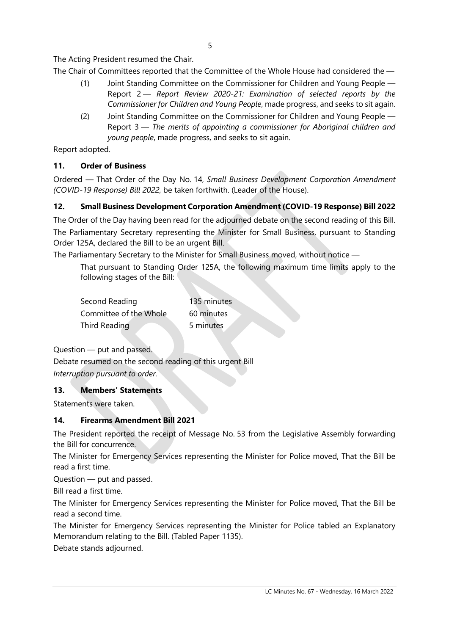The Acting President resumed the Chair.

The Chair of Committees reported that the Committee of the Whole House had considered the —

- (1) Joint Standing Committee on the Commissioner for Children and Young People Report 2 — *Report Review 2020-21: Examination of selected reports by the Commissioner for Children and Young People*, made progress, and seeks to sit again.
- (2) Joint Standing Committee on the Commissioner for Children and Young People Report 3 — *The merits of appointing a commissioner for Aboriginal children and young people*, made progress, and seeks to sit again.

Report adopted.

# **11. Order of Business**

Ordered — That Order of the Day No. 14, *Small Business Development Corporation Amendment (COVID-19 Response) Bill 2022*, be taken forthwith. (Leader of the House).

# **12. Small Business Development Corporation Amendment (COVID-19 Response) Bill 2022**

The Order of the Day having been read for the adjourned debate on the second reading of this Bill. The Parliamentary Secretary representing the Minister for Small Business, pursuant to Standing Order 125A, declared the Bill to be an urgent Bill.

The Parliamentary Secretary to the Minister for Small Business moved, without notice —

That pursuant to Standing Order 125A, the following maximum time limits apply to the following stages of the Bill:

| Second Reading         | 135 minutes |  |
|------------------------|-------------|--|
| Committee of the Whole | 60 minutes  |  |
| Third Reading          | 5 minutes   |  |

Question — put and passed.

Debate resumed on the second reading of this urgent Bill *Interruption pursuant to order.*

# **13. Members' Statements**

Statements were taken.

# **14. Firearms Amendment Bill 2021**

The President reported the receipt of Message No. 53 from the Legislative Assembly forwarding the Bill for concurrence.

The Minister for Emergency Services representing the Minister for Police moved, That the Bill be read a first time.

Question — put and passed.

Bill read a first time.

The Minister for Emergency Services representing the Minister for Police moved, That the Bill be read a second time.

The Minister for Emergency Services representing the Minister for Police tabled an Explanatory Memorandum relating to the Bill. (Tabled Paper 1135).

Debate stands adjourned.